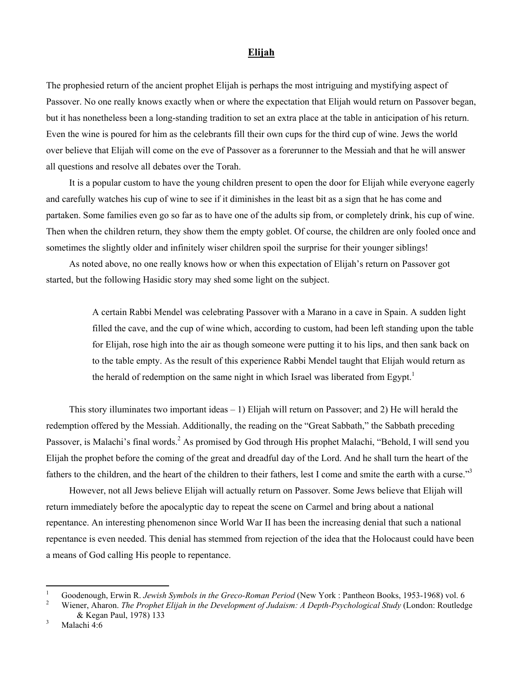## **Elijah**

The prophesied return of the ancient prophet Elijah is perhaps the most intriguing and mystifying aspect of Passover. No one really knows exactly when or where the expectation that Elijah would return on Passover began, but it has nonetheless been a long-standing tradition to set an extra place at the table in anticipation of his return. Even the wine is poured for him as the celebrants fill their own cups for the third cup of wine. Jews the world over believe that Elijah will come on the eve of Passover as a forerunner to the Messiah and that he will answer all questions and resolve all debates over the Torah.

It is a popular custom to have the young children present to open the door for Elijah while everyone eagerly and carefully watches his cup of wine to see if it diminishes in the least bit as a sign that he has come and partaken. Some families even go so far as to have one of the adults sip from, or completely drink, his cup of wine. Then when the children return, they show them the empty goblet. Of course, the children are only fooled once and sometimes the slightly older and infinitely wiser children spoil the surprise for their younger siblings!

As noted above, no one really knows how or when this expectation of Elijah's return on Passover got started, but the following Hasidic story may shed some light on the subject.

> A certain Rabbi Mendel was celebrating Passover with a Marano in a cave in Spain. A sudden light filled the cave, and the cup of wine which, according to custom, had been left standing upon the table for Elijah, rose high into the air as though someone were putting it to his lips, and then sank back on to the table empty. As the result of this experience Rabbi Mendel taught that Elijah would return as the herald of redemption on the same night in which Israel was liberated from Egypt.<sup>1</sup>

This story illuminates two important ideas  $-1$ ) Elijah will return on Passover; and 2) He will herald the redemption offered by the Messiah. Additionally, the reading on the "Great Sabbath," the Sabbath preceding Passover, is Malachi's final words.<sup>[2](#page-0-1)</sup> As promised by God through His prophet Malachi, "Behold, I will send you Elijah the prophet before the coming of the great and dreadful day of the Lord. And he shall turn the heart of the fathers to the children, and the heart of the children to their fathers, lest I come and smite the earth with a curse."[3](#page-0-2)

However, not all Jews believe Elijah will actually return on Passover. Some Jews believe that Elijah will return immediately before the apocalyptic day to repeat the scene on Carmel and bring about a national repentance. An interesting phenomenon since World War II has been the increasing denial that such a national repentance is even needed. This denial has stemmed from rejection of the idea that the Holocaust could have been a means of God calling His people to repentance.

 $\overline{a}$ 

<span id="page-0-0"></span><sup>1</sup> Goodenough, Erwin R. *Jewish Symbols in the Greco-Roman Period* (New York : Pantheon Books, 1953-1968) vol. 6 2

<span id="page-0-1"></span>Wiener, Aharon. *The Prophet Elijah in the Development of Judaism: A Depth-Psychological Study* (London: Routledge & Kegan Paul, 1978) 133

<span id="page-0-2"></span>Malachi 4:6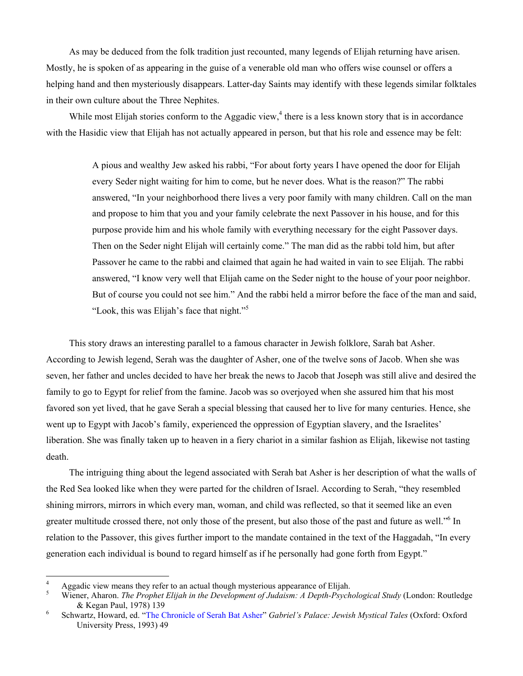As may be deduced from the folk tradition just recounted, many legends of Elijah returning have arisen. Mostly, he is spoken of as appearing in the guise of a venerable old man who offers wise counsel or offers a helping hand and then mysteriously disappears. Latter-day Saints may identify with these legends similar folktales in their own culture about the Three Nephites.

Whilemost Elijah stories conform to the Aggadic view, $4$  there is a less known story that is in accordance with the Hasidic view that Elijah has not actually appeared in person, but that his role and essence may be felt:

> A pious and wealthy Jew asked his rabbi, "For about forty years I have opened the door for Elijah every Seder night waiting for him to come, but he never does. What is the reason?" The rabbi answered, "In your neighborhood there lives a very poor family with many children. Call on the man and propose to him that you and your family celebrate the next Passover in his house, and for this purpose provide him and his whole family with everything necessary for the eight Passover days. Then on the Seder night Elijah will certainly come." The man did as the rabbi told him, but after Passover he came to the rabbi and claimed that again he had waited in vain to see Elijah. The rabbi answered, "I know very well that Elijah came on the Seder night to the house of your poor neighbor. But of course you could not see him." And the rabbi held a mirror before the face of the man and said, "Look, this was Elijah's face that night."[5](#page-1-1)

This story draws an interesting parallel to a famous character in Jewish folklore, Sarah bat Asher. According to Jewish legend, Serah was the daughter of Asher, one of the twelve sons of Jacob. When she was seven, her father and uncles decided to have her break the news to Jacob that Joseph was still alive and desired the family to go to Egypt for relief from the famine. Jacob was so overjoyed when she assured him that his most favored son yet lived, that he gave Serah a special blessing that caused her to live for many centuries. Hence, she went up to Egypt with Jacob's family, experienced the oppression of Egyptian slavery, and the Israelites' liberation. She was finally taken up to heaven in a fiery chariot in a similar fashion as Elijah, likewise not tasting death.

The intriguing thing about the legend associated with Serah bat Asher is her description of what the walls of the Red Sea looked like when they were parted for the children of Israel. According to Serah, "they resembled shining mirrors, mirrors in which every man, woman, and child was reflected, so that it seemed like an even greater multitude crossed there, not only those of the present, but also those of the past and future as well."<sup>6</sup> In relation to the Passover, this gives further import to the mandate contained in the text of the Haggadah, "In every generation each individual is bound to regard himself as if he personally had gone forth from Egypt."

 $\overline{a}$ 

<span id="page-1-0"></span><sup>4</sup> Aggadic view means they refer to an actual though mysterious appearance of Elijah.

<span id="page-1-1"></span><sup>5</sup> Wiener, Aharon. *The Prophet Elijah in the Development of Judaism: A Depth-Psychological Study* (London: Routledge & Kegan Paul, 1978) 139

<span id="page-1-2"></span>Schwartz, Howard, ed. "[The Chronicle of Serah Bat Asher"](serah.pdf) *Gabriel's Palace: Jewish Mystical Tales* (Oxford: Oxford University Press, 1993) 49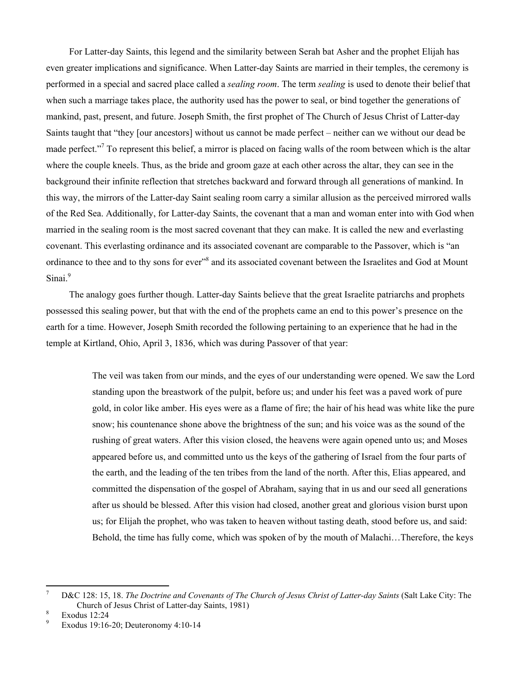For Latter-day Saints, this legend and the similarity between Serah bat Asher and the prophet Elijah has even greater implications and significance. When Latter-day Saints are married in their temples, the ceremony is performed in a special and sacred place called a *sealing room*. The term *sealing* is used to denote their belief that when such a marriage takes place, the authority used has the power to seal, or bind together the generations of mankind, past, present, and future. Joseph Smith, the first prophet of The Church of Jesus Christ of Latter-day Saints taught that "they [our ancestors] without us cannot be made perfect – neither can we without our dead be made perfect."<sup>[7](#page-2-0)</sup> To represent this belief, a mirror is placed on facing walls of the room between which is the altar where the couple kneels. Thus, as the bride and groom gaze at each other across the altar, they can see in the background their infinite reflection that stretches backward and forward through all generations of mankind. In this way, the mirrors of the Latter-day Saint sealing room carry a similar allusion as the perceived mirrored walls of the Red Sea. Additionally, for Latter-day Saints, the covenant that a man and woman enter into with God when married in the sealing room is the most sacred covenant that they can make. It is called the new and everlasting covenant. This everlasting ordinance and its associated covenant are comparable to the Passover, which is "an ordinance to thee and to thy sons for ever"<sup>8</sup> and its associated covenant between the Israelites and God at Mount Sinai.<sup>9</sup>

The analogy goes further though. Latter-day Saints believe that the great Israelite patriarchs and prophets possessed this sealing power, but that with the end of the prophets came an end to this power's presence on the earth for a time. However, Joseph Smith recorded the following pertaining to an experience that he had in the temple at Kirtland, Ohio, April 3, 1836, which was during Passover of that year:

> The veil was taken from our minds, and the eyes of our understanding were opened. We saw the Lord standing upon the breastwork of the pulpit, before us; and under his feet was a paved work of pure gold, in color like amber. His eyes were as a flame of fire; the hair of his head was white like the pure snow; his countenance shone above the brightness of the sun; and his voice was as the sound of the rushing of great waters. After this vision closed, the heavens were again opened unto us; and Moses appeared before us, and committed unto us the keys of the gathering of Israel from the four parts of the earth, and the leading of the ten tribes from the land of the north. After this, Elias appeared, and committed the dispensation of the gospel of Abraham, saying that in us and our seed all generations after us should be blessed. After this vision had closed, another great and glorious vision burst upon us; for Elijah the prophet, who was taken to heaven without tasting death, stood before us, and said: Behold, the time has fully come, which was spoken of by the mouth of Malachi…Therefore, the keys

 $\overline{a}$ 

<span id="page-2-0"></span><sup>7</sup> D&C 128: 15, 18. *The Doctrine and Covenants of The Church of Jesus Christ of Latter-day Saints* (Salt Lake City: The Church of Jesus Christ of Latter-day Saints, 1981) 8

<span id="page-2-1"></span>Exodus 12:24

<span id="page-2-2"></span><sup>9</sup> Exodus 19:16-20; Deuteronomy 4:10-14